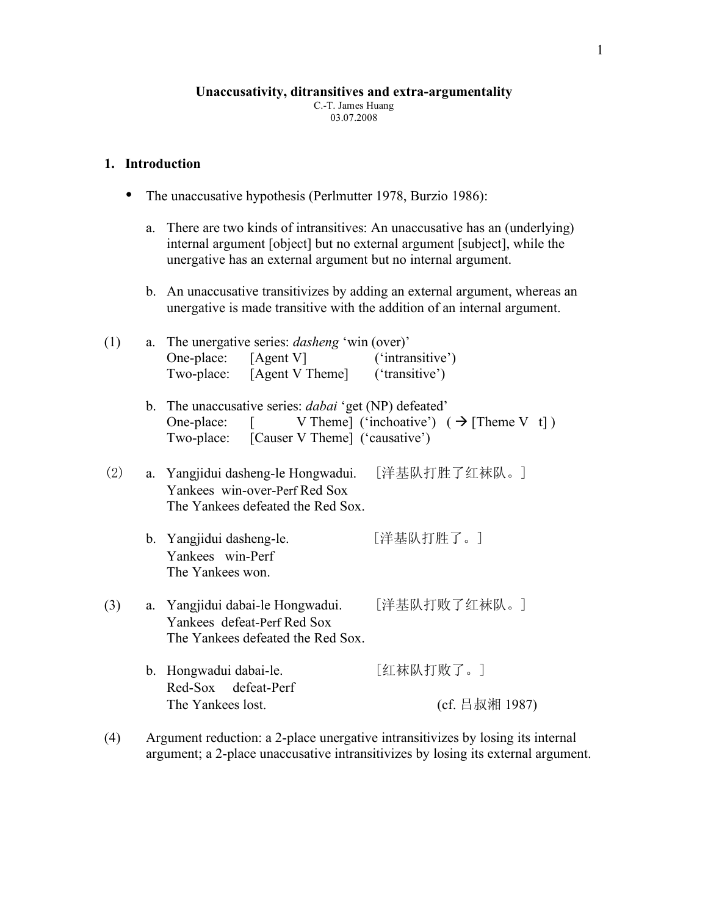#### **Unaccusativity, ditransitives and extra-argumentality**

C.-T. James Huang 03.07.2008

#### **1. Introduction**

- The unaccusative hypothesis (Perlmutter 1978, Burzio 1986):
	- a. There are two kinds of intransitives: An unaccusative has an (underlying) internal argument [object] but no external argument [subject], while the unergative has an external argument but no internal argument.
	- b. An unaccusative transitivizes by adding an external argument, whereas an unergative is made transitive with the addition of an internal argument.

| (1) | a. The unergative series: <i>dasheng</i> 'win (over)'<br>One-place: [Agent V]<br>Two-place: [Agent V Theme] ('transitive')<br>b. The unaccusative series: <i>dabai</i> 'get (NP) defeated' | ('intransitive')            |
|-----|--------------------------------------------------------------------------------------------------------------------------------------------------------------------------------------------|-----------------------------|
|     | One-place: $[V \text{ theme}](\text{`inchaative'}) (\rightarrow [The me V t])$<br>Two-place: [Causer V Theme] ('causative')                                                                |                             |
| (2) | a. Yangjidui dasheng-le Hongwadui. [洋基队打胜了红袜队。]<br>Yankees win-over-Perf Red Sox<br>The Yankees defeated the Red Sox.                                                                      |                             |
|     | b. Yangjidui dasheng-le.<br>Yankees win-Perf<br>The Yankees won.                                                                                                                           | [洋基队打胜了。]                   |
| (3) | a. Yangjidui dabai-le Hongwadui. [洋基队打败了红袜队。]<br>Yankees defeat-Perf Red Sox<br>The Yankees defeated the Red Sox.                                                                          |                             |
|     | b. Hongwadui dabai-le.<br>Red-Sox defeat-Perf<br>The Yankees lost.                                                                                                                         | [红袜队打败了。]<br>(cf. 吕叔湘 1987) |

(4) Argument reduction: a 2-place unergative intransitivizes by losing its internal argument; a 2-place unaccusative intransitivizes by losing its external argument.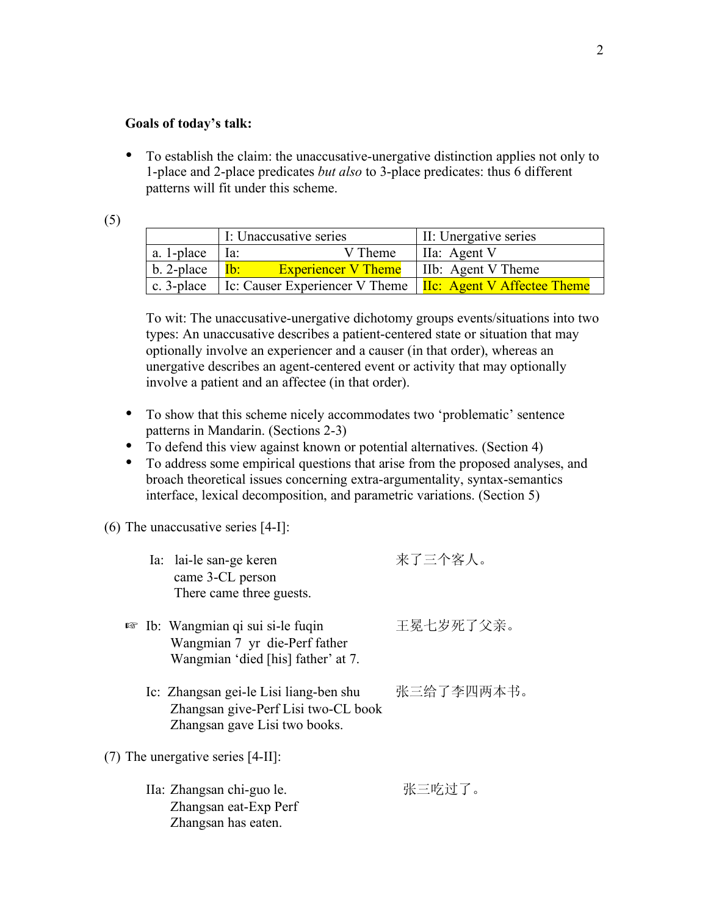#### **Goals of today's talk:**

• To establish the claim: the unaccusative-unergative distinction applies not only to 1-place and 2-place predicates *but also* to 3-place predicates: thus 6 different patterns will fit under this scheme.

| ×                 |  |
|-------------------|--|
| ×<br>I<br>۰.<br>× |  |

|                                            | I: Unaccusative series                                                              | II: Unergative series |
|--------------------------------------------|-------------------------------------------------------------------------------------|-----------------------|
| a. 1-place $ $ Ia:                         | V Theme                                                                             | IIa: Agent V          |
| b. 2-place $ \mathbf{I} \cdot \mathbf{b} $ | <b>Experiencer V Theme</b>   IIb: Agent V Theme                                     |                       |
|                                            | c. 3-place   Ic: Causer Experiencer V Theme   $\text{IIc}$ : Agent V Affectee Theme |                       |

To wit: The unaccusative-unergative dichotomy groups events/situations into two types: An unaccusative describes a patient-centered state or situation that may optionally involve an experiencer and a causer (in that order), whereas an unergative describes an agent-centered event or activity that may optionally involve a patient and an affectee (in that order).

- To show that this scheme nicely accommodates two 'problematic' sentence patterns in Mandarin. (Sections 2-3)
- To defend this view against known or potential alternatives. (Section 4)
- To address some empirical questions that arise from the proposed analyses, and broach theoretical issues concerning extra-argumentality, syntax-semantics interface, lexical decomposition, and parametric variations. (Section 5)

#### (6) The unaccusative series [4-I]:

| Ia: lai-le san-ge keren<br>came 3-CL person<br>There came three guests.                                             | 来了三个客人。    |
|---------------------------------------------------------------------------------------------------------------------|------------|
| $\mathbb{R}$ Ib: Wangmian qi sui si-le fuqin<br>Wangmian 7 yr die-Perf father<br>Wangmian 'died [his] father' at 7. | 王冕七岁死了父亲。  |
| Ic: Zhangsan gei-le Lisi liang-ben shu<br>Zhangsan give-Perf Lisi two-CL book<br>Zhangsan gave Lisi two books.      | 张三给了李四两本书。 |
| $(7)$ The unergative series [4-II]:                                                                                 |            |
| IIa: Zhangsan chi-guo le.<br>Zhangsan eat-Exp Perf<br>Zhangsan has eaten.                                           | 张三吃过了。     |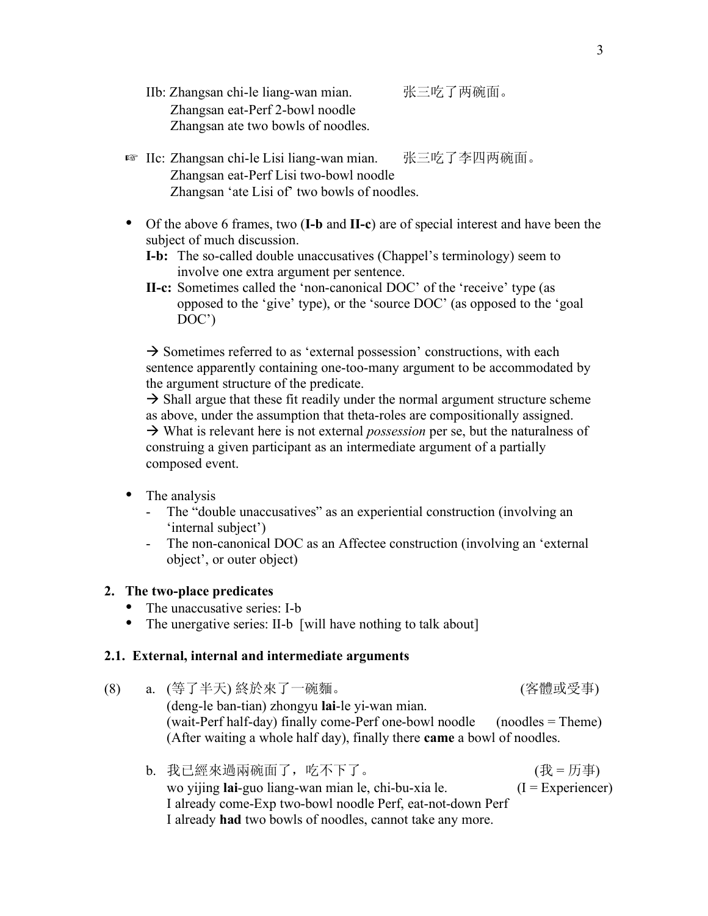- IIb: Zhangsan chi-le liang-wan mian. 张三吃了两碗面。 Zhangsan eat-Perf 2-bowl noodle Zhangsan ate two bowls of noodles.
- ☞ IIc: Zhangsan chi-le Lisi liang-wan mian. 张三吃了李四两碗面。 Zhangsan eat-Perf Lisi two-bowl noodle Zhangsan 'ate Lisi of' two bowls of noodles.
- Of the above 6 frames, two (**I-b** and **II-c**) are of special interest and have been the subject of much discussion.
	- **I-b:** The so-called double unaccusatives (Chappel's terminology) seem to involve one extra argument per sentence.
	- **II-c:** Sometimes called the 'non-canonical DOC' of the 'receive' type (as opposed to the 'give' type), or the 'source DOC' (as opposed to the 'goal DOC')

 $\rightarrow$  Sometimes referred to as 'external possession' constructions, with each sentence apparently containing one-too-many argument to be accommodated by the argument structure of the predicate.

 $\rightarrow$  Shall argue that these fit readily under the normal argument structure scheme as above, under the assumption that theta-roles are compositionally assigned. What is relevant here is not external *possession* per se, but the naturalness of construing a given participant as an intermediate argument of a partially composed event.

- The analysis
	- The "double unaccusatives" as an experiential construction (involving an 'internal subject')
	- The non-canonical DOC as an Affectee construction (involving an 'external object', or outer object)

### **2. The two-place predicates**

- The unaccusative series: I-b
- The unergative series: II-b [will have nothing to talk about]

### **2.1. External, internal and intermediate arguments**

- (8) a. (等了半天) 終於來了一碗麵。 (客體或受事) (deng-le ban-tian) zhongyu **lai**-le yi-wan mian. (wait-Perf half-day) finally come-Perf one-bowl noodle (noodles = Theme) (After waiting a whole half day), finally there **came** a bowl of noodles.
	- b. 我已經來過兩碗面了,吃不下了。 (我 = 历事) ( wo yijing **lai**-guo liang-wan mian le, chi-bu-xia le. (I = Experiencer) I already come-Exp two-bowl noodle Perf, eat-not-down Perf I already **had** two bowls of noodles, cannot take any more.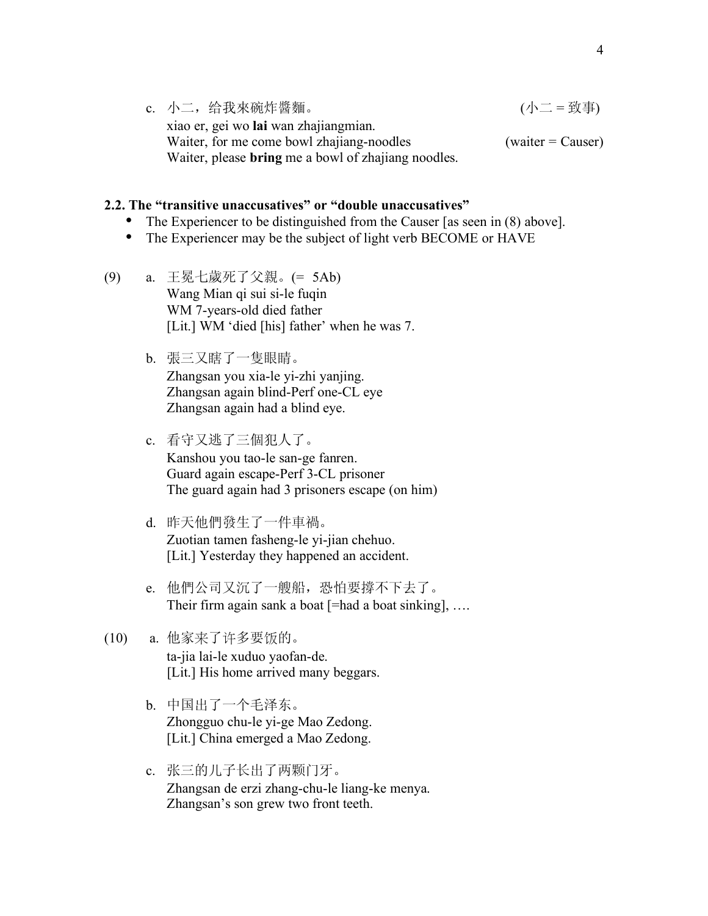c. 小二,给我來碗炸醬麵。 (小二 = 致事) xiao er, gei wo **lai** wan zhajiangmian. Waiter, for me come bowl zhajiang-noodles  $(w \text{a} \cdot \text{a})$  (waiter = Causer) Waiter, please **bring** me a bowl of zhajiang noodles.

### **2.2. The "transitive unaccusatives" or "double unaccusatives"**

- The Experiencer to be distinguished from the Causer [as seen in (8) above].<br>• The Experiencer may be the subject of light verb BECOME or HAVE
- The Experiencer may be the subject of light verb BECOME or HAVE
- (9) a. 王冕七歲死了父親。(= 5Ab) Wang Mian qi sui si-le fuqin WM 7-years-old died father [Lit.] WM 'died [his] father' when he was 7.
	- b. 張三又瞎了一隻眼睛。 Zhangsan you xia-le yi-zhi yanjing. Zhangsan again blind-Perf one-CL eye Zhangsan again had a blind eye.
	- c. 看守又逃了三個犯人了。 Kanshou you tao-le san-ge fanren. Guard again escape-Perf 3-CL prisoner The guard again had 3 prisoners escape (on him)
	- d. 昨天他們發生了一件車禍。 Zuotian tamen fasheng-le yi-jian chehuo. [Lit.] Yesterday they happened an accident.
	- e. 他們公司又沉了一艘船,恐怕要撐不下去了。 Their firm again sank a boat  $[=$ had a boat sinking], ...

# (10) a. 他家来了许多要饭的。 ta-jia lai-le xuduo yaofan-de. [Lit.] His home arrived many beggars.

- b. 中国出了一个毛泽东。 Zhongguo chu-le yi-ge Mao Zedong. [Lit.] China emerged a Mao Zedong.
- c. 张三的儿子长出了两颗门牙。 Zhangsan de erzi zhang-chu-le liang-ke menya. Zhangsan's son grew two front teeth.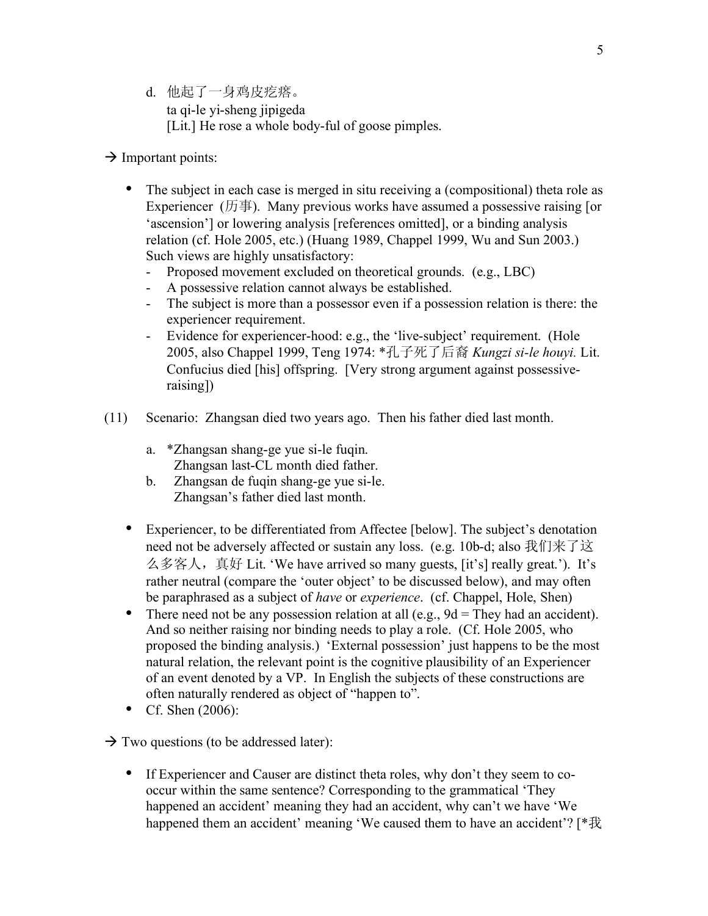- d. 他起了一身鸡皮疙瘩。 ta qi-le yi-sheng jipigeda [Lit.] He rose a whole body-ful of goose pimples.
- $\rightarrow$  Important points:
	- The subject in each case is merged in situ receiving a (compositional) theta role as Experiencer ( $\overline{m}$ ). Many previous works have assumed a possessive raising [or 'ascension'] or lowering analysis [references omitted], or a binding analysis relation (cf. Hole 2005, etc.) (Huang 1989, Chappel 1999, Wu and Sun 2003.) Such views are highly unsatisfactory:
		- Proposed movement excluded on theoretical grounds. (e.g., LBC)
		- A possessive relation cannot always be established.
		- The subject is more than a possessor even if a possession relation is there: the experiencer requirement.
		- Evidence for experiencer-hood: e.g., the 'live-subject' requirement. (Hole 2005, also Chappel 1999, Teng 1974: \*孔子死了后裔 *Kungzi si-le houyi.* Lit. Confucius died [his] offspring. [Very strong argument against possessiveraising])
- (11) Scenario: Zhangsan died two years ago. Then his father died last month.
	- a. \*Zhangsan shang-ge yue si-le fuqin. Zhangsan last-CL month died father.
	- b. Zhangsan de fuqin shang-ge yue si-le. Zhangsan's father died last month.
	- Experiencer, to be differentiated from Affectee [below]. The subject's denotation need not be adversely affected or sustain any loss. (e.g. 10b-d; also 我们来了这 么多客人,真好 Lit. 'We have arrived so many guests, [it's] really great.'). It's rather neutral (compare the 'outer object' to be discussed below), and may often be paraphrased as a subject of *have* or *experience*. (cf. Chappel, Hole, Shen)
	- There need not be any possession relation at all  $(e.g., 9d =$ They had an accident). And so neither raising nor binding needs to play a role. (Cf. Hole 2005, who proposed the binding analysis.) 'External possession' just happens to be the most natural relation, the relevant point is the cognitive plausibility of an Experiencer of an event denoted by a VP. In English the subjects of these constructions are often naturally rendered as object of "happen to".
	- Cf. Shen (2006):
- $\rightarrow$  Two questions (to be addressed later):
	- If Experiencer and Causer are distinct theta roles, why don't they seem to cooccur within the same sentence? Corresponding to the grammatical 'They happened an accident' meaning they had an accident, why can't we have 'We happened them an accident' meaning 'We caused them to have an accident'? [ \*我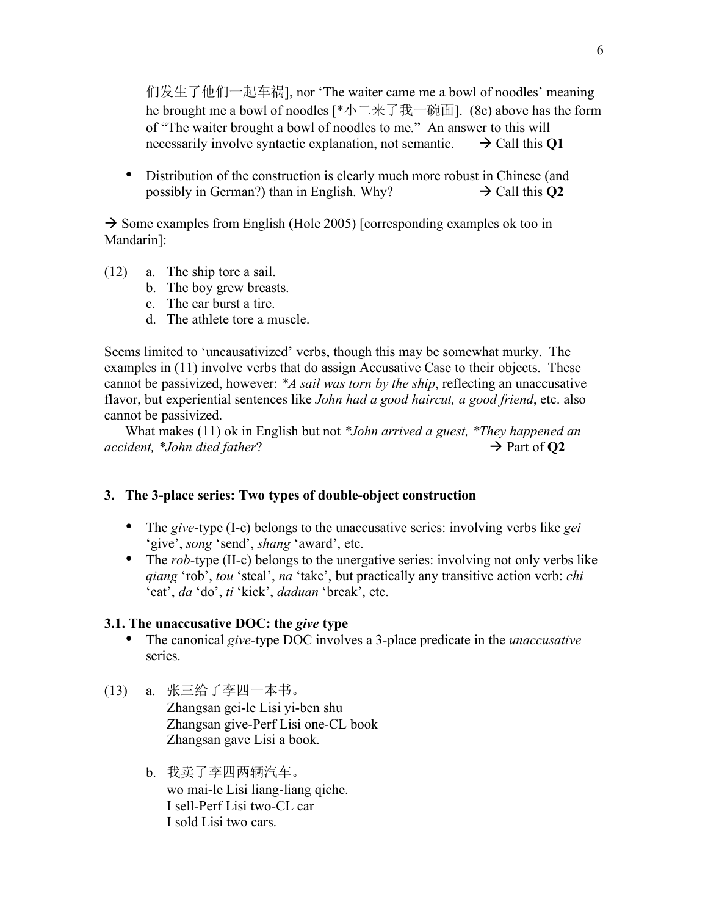们发生了他们一起车祸], nor 'The waiter came me a bowl of noodles' meaning he brought me a bowl of noodles [ $*\uparrow \Box \# \top \#$ ]. (8c) above has the form of "The waiter brought a bowl of noodles to me." An answer to this will necessarily involve syntactic explanation, not semantic.  $\rightarrow$  Call this **Q1** 

• Distribution of the construction is clearly much more robust in Chinese (and possibly in German?) than in English. Why?  $\rightarrow$  Call this O2 possibly in German?) than in English. Why?

 $\rightarrow$  Some examples from English (Hole 2005) [corresponding examples ok too in Mandarin]:

- (12) a. The ship tore a sail.
	- b. The boy grew breasts.
	- c. The car burst a tire.
	- d. The athlete tore a muscle.

Seems limited to 'uncausativized' verbs, though this may be somewhat murky. The examples in (11) involve verbs that do assign Accusative Case to their objects. These cannot be passivized, however: *\*A sail was torn by the ship*, reflecting an unaccusative flavor, but experiential sentences like *John had a good haircut, a good friend*, etc. also cannot be passivized.

What makes (11) ok in English but not *\*John arrived a guest, \*They happened an*   $accident, *John died father?$   $\rightarrow$  Part of **Q2** 

## **3. The 3-place series: Two types of double-object construction**

- The *give*-type (I-c) belongs to the unaccusative series: involving verbs like *gei* 'give', *song* 'send', *shang* 'award', etc.
- The *rob*-type (II-c) belongs to the unergative series: involving not only verbs like *qiang* 'rob', *tou* 'steal', *na* 'take', but practically any transitive action verb: *chi* 'eat', *da* 'do', *ti* 'kick', *daduan* 'break', etc.

### **3.1. The unaccusative DOC: the** *give* **type**

- The canonical *give*-type DOC involves a 3-place predicate in the *unaccusative* series.
- (13) a. 张三给了李四一本书。 Zhangsan gei-le Lisi yi-ben shu Zhangsan give-Perf Lisi one-CL book Zhangsan gave Lisi a book.
	- b. 我卖了李四两辆汽车。 wo mai-le Lisi liang-liang qiche. I sell-Perf Lisi two-CL car I sold Lisi two cars.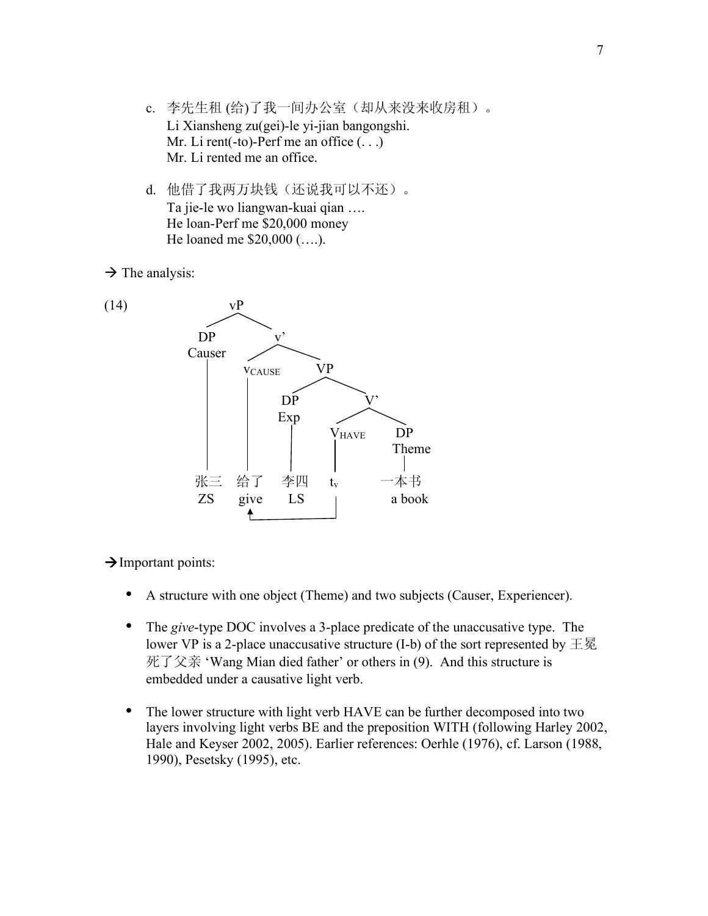- c. 李先生租 (给)了我一间办公室(却从来没来收房租)。 Li Xiansheng zu(gei)-le yi-jian bangongshi. Mr. Li rent(-to)-Perf me an office  $(\ldots)$ Mr. Li rented me an office.
- d. 他借了我两万块钱(还说我可以不还)。 Ta jie-le wo liangwan-kuai qian …. He loan-Perf me \$20,000 money He loaned me \$20,000 (….).

 $\rightarrow$  The analysis:





 $\rightarrow$  Important points:

- A structure with one object (Theme) and two subjects (Causer, Experiencer).
- The *give*-type DOC involves a 3-place predicate of the unaccusative type. The lower VP is a 2-place unaccusative structure (I-b) of the sort represented by  $\pm \Xi$ 死了父亲 'Wang Mian died father' or others in (9). And this structure is embedded under a causative light verb.
- The lower structure with light verb HAVE can be further decomposed into two layers involving light verbs BE and the preposition WITH (following Harley 2002, Hale and Keyser 2002, 2005). Earlier references: Oerhle (1976), cf. Larson (1988, 1990), Pesetsky (1995), etc.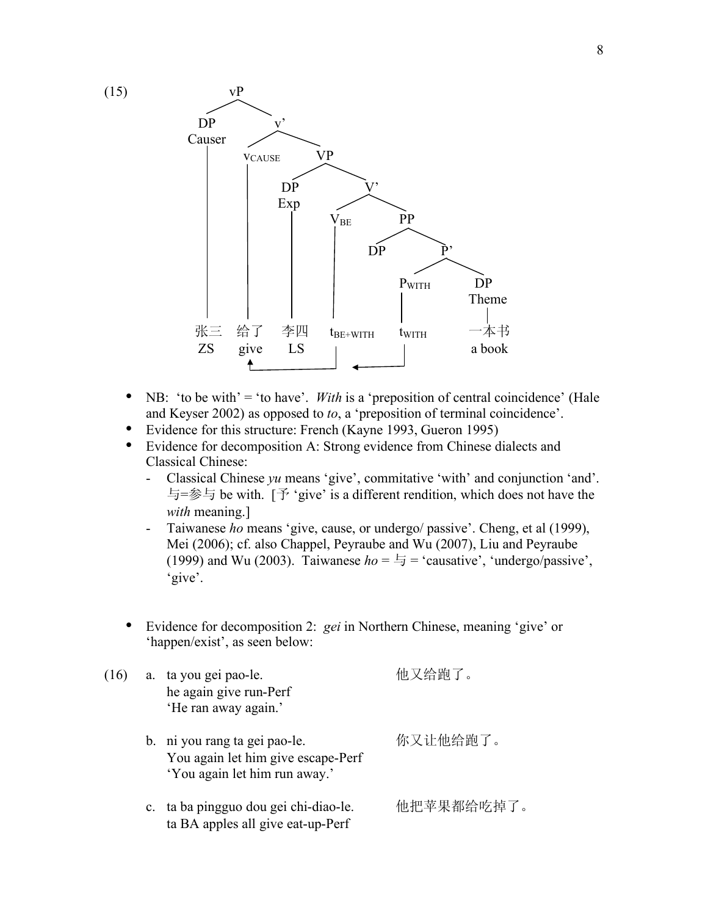

- NB: 'to be with' = 'to have'. *With* is a 'preposition of central coincidence' (Hale and Keyser 2002) as opposed to *to*, a 'preposition of terminal coincidence'.
- Evidence for this structure: French (Kayne 1993, Gueron 1995)
- Evidence for decomposition A: Strong evidence from Chinese dialects and Classical Chinese:
	- Classical Chinese *yu* means 'give', commitative 'with' and conjunction 'and'. 与=参与 be with. [予 'give' is a different rendition, which does not have the *with* meaning.]
	- Taiwanese *ho* means 'give, cause, or undergo/ passive'. Cheng, et al (1999), Mei (2006); cf. also Chappel, Peyraube and Wu (2007), Liu and Peyraube (1999) and Wu (2003). Taiwanese  $ho = \frac{1}{2}$  = 'causative', 'undergo/passive', 'give'.
- Evidence for decomposition 2: *gei* in Northern Chinese, meaning 'give' or 'happen/exist', as seen below:

| (16) |  | a. ta you gei pao-le.<br>he again give run-Perf<br>'He ran away again.'                              | 他又给跑了。     |  |
|------|--|------------------------------------------------------------------------------------------------------|------------|--|
|      |  | b. ni you rang ta gei pao-le.<br>You again let him give escape-Perf<br>'You again let him run away.' | 你又让他给跑了。   |  |
|      |  | c. ta ba pingguo dou gei chi-diao-le.<br>ta BA apples all give eat-up-Perf                           | 他把苹果都给吃掉了。 |  |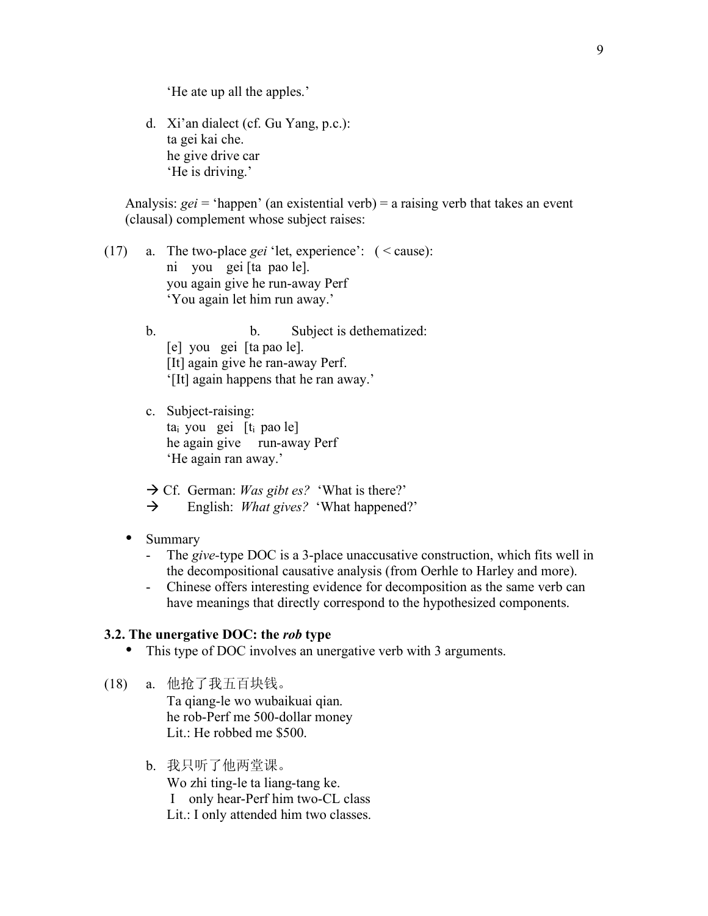'He ate up all the apples.'

d. Xi'an dialect (cf. Gu Yang, p.c.): ta gei kai che. he give drive car 'He is driving.'

Analysis: *gei* = 'happen' (an existential verb) = a raising verb that takes an event (clausal) complement whose subject raises:

- (17) a. The two-place *gei* 'let, experience': ( < cause): ni you gei [ta pao le]. you again give he run-away Perf 'You again let him run away.'
	- b. Subject is dethematized: [e] you gei [ta pao le]. [It] again give he ran-away Perf. '[It] again happens that he ran away.'
	- c. Subject-raising:  $ta<sub>i</sub>$  you gei  $[t<sub>i</sub>$  pao le] he again give run-away Perf 'He again ran away.'
	- $\rightarrow$  Cf. German: *Was gibt es?* 'What is there?'
	- English: *What gives?* 'What happened?'
	- Summary
		- The *give-*type DOC is a 3-place unaccusative construction, which fits well in the decompositional causative analysis (from Oerhle to Harley and more).
		- Chinese offers interesting evidence for decomposition as the same verb can have meanings that directly correspond to the hypothesized components.

#### **3.2. The unergative DOC: the** *rob* **type**

- This type of DOC involves an unergative verb with 3 arguments.
- (18) a. 他抢了我五百块钱。 Ta qiang-le wo wubaikuai qian. he rob-Perf me 500-dollar money Lit.: He robbed me \$500.
	- b. 我只听了他两堂课。
		- Wo zhi ting-le ta liang-tang ke. I only hear-Perf him two-CL class Lit.: I only attended him two classes.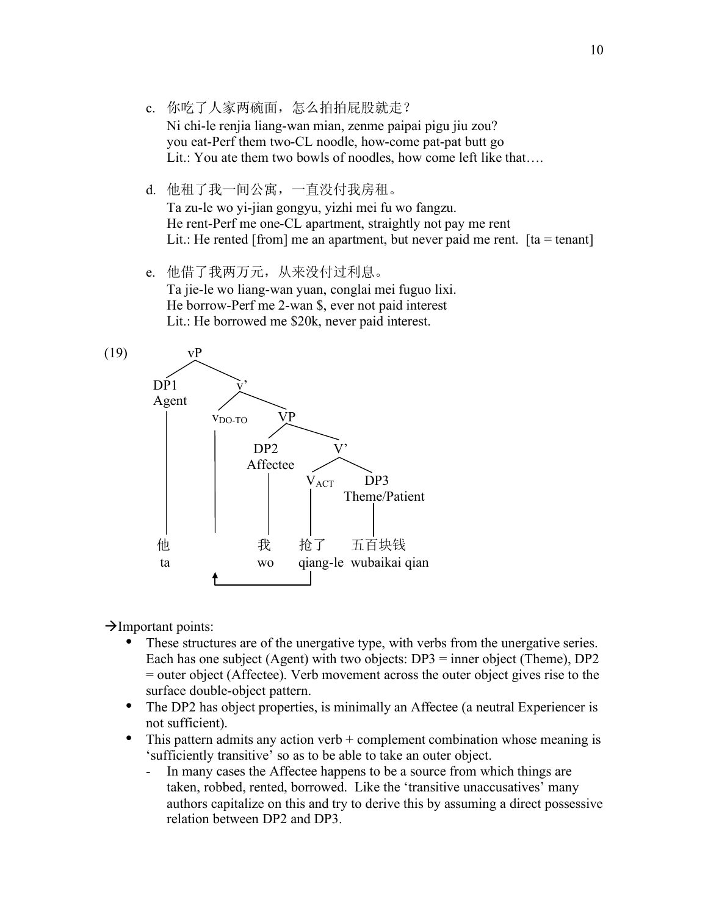- c. 你吃了人家两碗面,怎么拍拍屁股就走? Ni chi-le renjia liang-wan mian, zenme paipai pigu jiu zou? you eat-Perf them two-CL noodle, how-come pat-pat butt go Lit.: You ate them two bowls of noodles, how come left like that....
- d. 他租了我一间公寓,一直没付我房租。 Ta zu-le wo yi-jian gongyu, yizhi mei fu wo fangzu. He rent-Perf me one-CL apartment, straightly not pay me rent Lit.: He rented [from] me an apartment, but never paid me rent.  $[ta = \text{tenant}]$
- e. 他借了我两万元,从来没付过利息。 Ta jie-le wo liang-wan yuan, conglai mei fuguo lixi. He borrow-Perf me 2-wan \$, ever not paid interest Lit.: He borrowed me \$20k, never paid interest.



 $\rightarrow$ Important points:

- These structures are of the unergative type, with verbs from the unergative series. Each has one subject (Agent) with two objects: DP3 = inner object (Theme), DP2 = outer object (Affectee). Verb movement across the outer object gives rise to the surface double-object pattern.
- The DP2 has object properties, is minimally an Affectee (a neutral Experiencer is not sufficient).
- This pattern admits any action verb  $+$  complement combination whose meaning is 'sufficiently transitive' so as to be able to take an outer object.
	- In many cases the Affectee happens to be a source from which things are taken, robbed, rented, borrowed. Like the 'transitive unaccusatives' many authors capitalize on this and try to derive this by assuming a direct possessive relation between DP2 and DP3.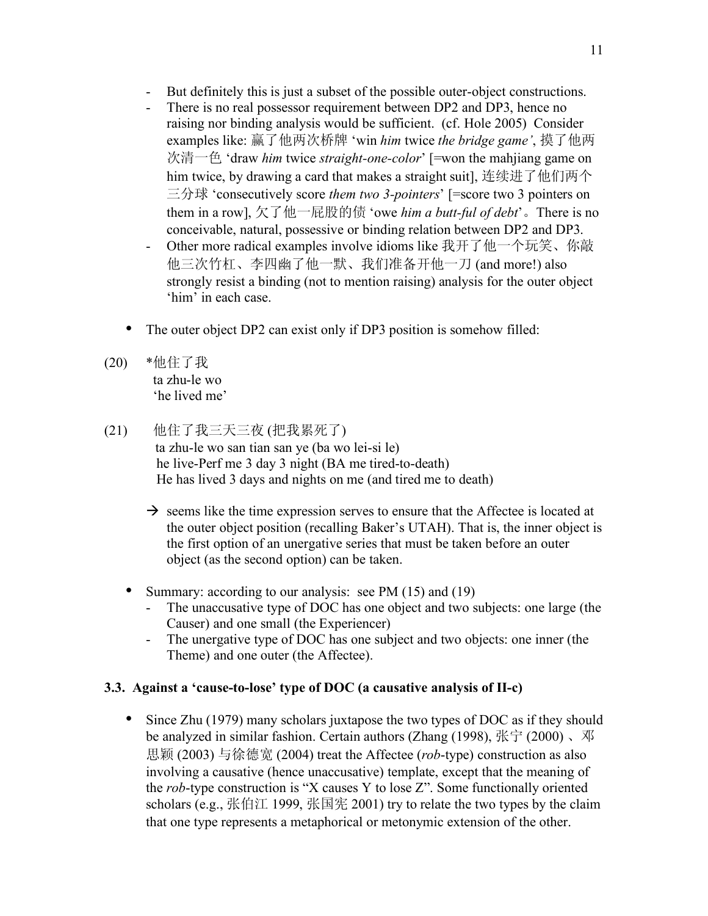- But definitely this is just a subset of the possible outer-object constructions.
- There is no real possessor requirement between DP2 and DP3, hence no raising nor binding analysis would be sufficient. (cf. Hole 2005) Consider examples like: 赢了他两次桥牌 'win *him* twice *the bridge game'*, 摸了他两 次清一色 'draw *him* twice *straight-one-color*' [=won the mahjiang game on him twice, by drawing a card that makes a straight suit], 连续进了他们两个 三分球 'consecutively score *them two 3-pointers*' [=score two 3 pointers on them in a row], 欠了他一屁股的债 'owe *him a butt-ful of debt*'。There is no conceivable, natural, possessive or binding relation between DP2 and DP3.
- Other more radical examples involve idioms like 我开了他一个玩笑、你敲 他三次竹杠、李四幽了他一默、我们准备开他一刀 (and more!) also strongly resist a binding (not to mention raising) analysis for the outer object 'him' in each case.
- The outer object DP2 can exist only if DP3 position is somehow filled:
- (20) \*他住了我 ta zhu-le wo 'he lived me'
- (21) 他住了我三天三夜 (把我累死了) ta zhu-le wo san tian san ye (ba wo lei-si le) he live-Perf me 3 day 3 night (BA me tired-to-death) He has lived 3 days and nights on me (and tired me to death)
	- $\rightarrow$  seems like the time expression serves to ensure that the Affectee is located at the outer object position (recalling Baker's UTAH). That is, the inner object is the first option of an unergative series that must be taken before an outer object (as the second option) can be taken.
	- Summary: according to our analysis: see PM (15) and (19)
		- The unaccusative type of DOC has one object and two subjects: one large (the Causer) and one small (the Experiencer)
		- The unergative type of DOC has one subject and two objects: one inner (the Theme) and one outer (the Affectee).

## **3.3. Against a 'cause-to-lose' type of DOC (a causative analysis of II-c)**

• Since Zhu (1979) many scholars juxtapose the two types of DOC as if they should be analyzed in similar fashion. Certain authors (Zhang (1998), 张宁 (2000) 、邓 思颖 (2003) 与徐德宽 (2004) treat the Affectee (*rob*-type) construction as also involving a causative (hence unaccusative) template, except that the meaning of the *rob*-type construction is "X causes Y to lose Z". Some functionally oriented scholars (e.g., 张伯江 1999, 张国宪 2001) try to relate the two types by the claim that one type represents a metaphorical or metonymic extension of the other.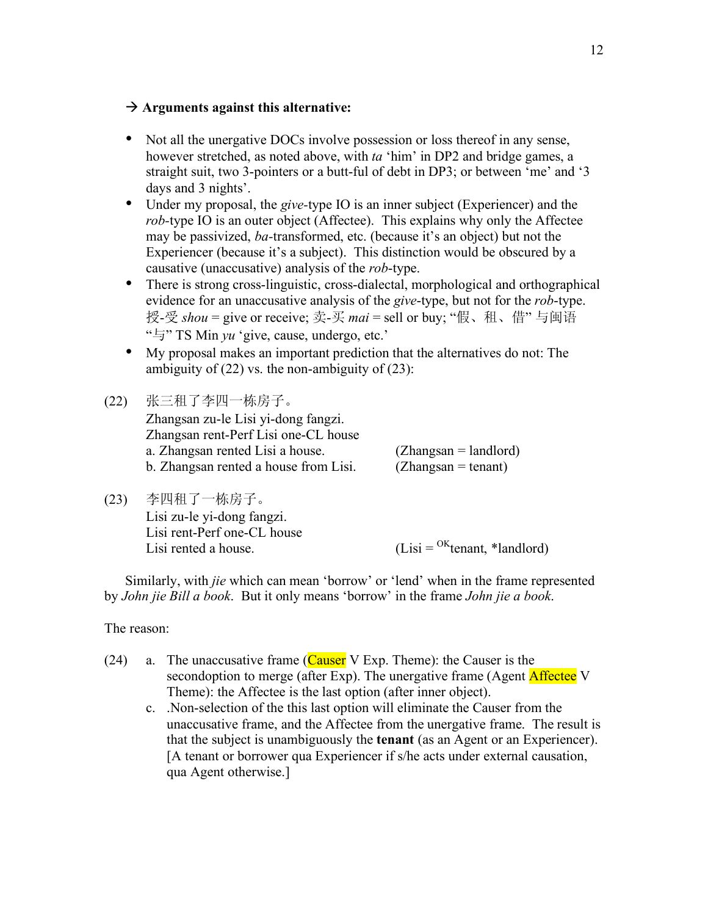#### $\rightarrow$  Arguments against this alternative:

- Not all the unergative DOCs involve possession or loss thereof in any sense, however stretched, as noted above, with *ta* 'him' in DP2 and bridge games, a straight suit, two 3-pointers or a butt-ful of debt in DP3; or between 'me' and '3 days and 3 nights'.
- Under my proposal, the *give-*type IO is an inner subject (Experiencer) and the *rob*-type IO is an outer object (Affectee). This explains why only the Affectee may be passivized, *ba-*transformed, etc. (because it's an object) but not the Experiencer (because it's a subject). This distinction would be obscured by a causative (unaccusative) analysis of the *rob*-type.
- There is strong cross-linguistic, cross-dialectal, morphological and orthographical evidence for an unaccusative analysis of the *give*-type, but not for the *rob*-type. 授-受 *shou* = give or receive; 卖-买 *mai* = sell or buy; "假、租、借" 与闽语 "与" TS Min *yu* 'give, cause, undergo, etc.'
- My proposal makes an important prediction that the alternatives do not: The ambiguity of  $(22)$  vs. the non-ambiguity of  $(23)$ :
- (22) 张三租了李四一栋房子。 Zhangsan zu-le Lisi yi-dong fangzi. Zhangsan rent-Perf Lisi one-CL house a. Zhangsan rented Lisi a house. (Zhangsan = landlord) b. Zhangsan rented a house from Lisi.  $(Zhangsan = \text{tenant})$
- (23) 李四租了一栋房子。 Lisi zu-le yi-dong fangzi. Lisi rent-Perf one-CL house Lisi rented a house. (Lisi =  $O<sup>K</sup>$ tenant, \*landlord)

Similarly, with *jie* which can mean 'borrow' or 'lend' when in the frame represented by *John jie Bill a book*. But it only means 'borrow' in the frame *John jie a book*.

The reason:

- (24) a. The unaccusative frame (Causer V Exp. Theme): the Causer is the secondoption to merge (after Exp). The unergative frame (Agent Affected V Theme): the Affectee is the last option (after inner object).
	- c. .Non-selection of the this last option will eliminate the Causer from the unaccusative frame, and the Affectee from the unergative frame. The result is that the subject is unambiguously the **tenant** (as an Agent or an Experiencer). [A tenant or borrower qua Experiencer if s/he acts under external causation, qua Agent otherwise.]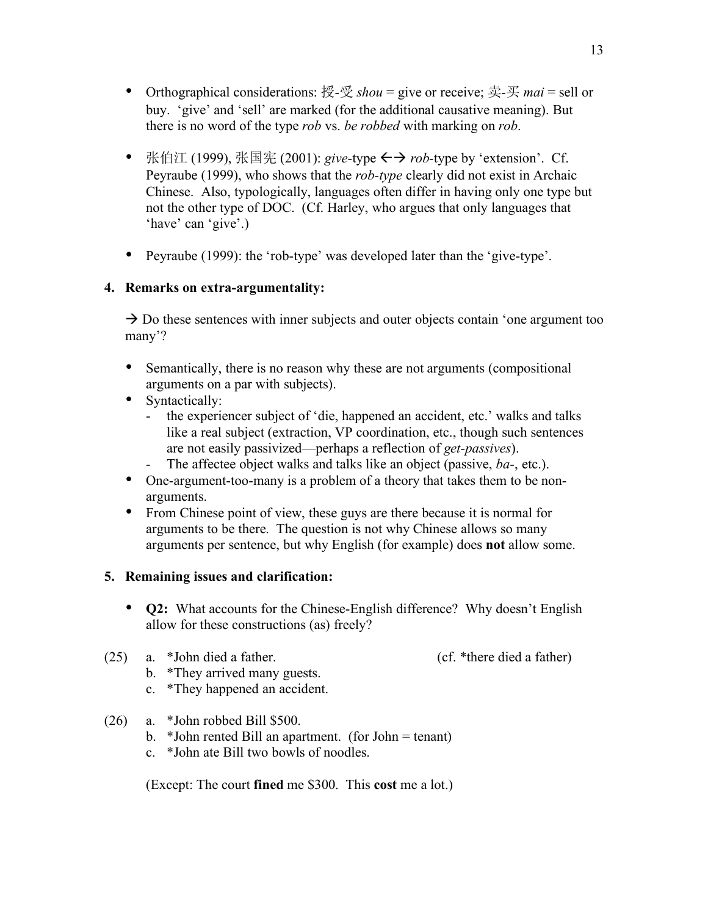- Orthographical considerations: 授-受 *shou* = give or receive; 卖-买 *mai* = sell or buy. 'give' and 'sell' are marked (for the additional causative meaning). But there is no word of the type *rob* vs. *be robbed* with marking on *rob*.
- 张伯江 (1999), 张国宪 (2001): *give*-type ←→ *rob*-type by 'extension'. Cf. Peyraube (1999), who shows that the *rob-type* clearly did not exist in Archaic Chinese. Also, typologically, languages often differ in having only one type but not the other type of DOC. (Cf. Harley, who argues that only languages that 'have' can 'give'.)
- Peyraube (1999): the 'rob-type' was developed later than the 'give-type'.

## **4. Remarks on extra-argumentality:**

 $\rightarrow$  Do these sentences with inner subjects and outer objects contain 'one argument too many'?

- Semantically, there is no reason why these are not arguments (compositional arguments on a par with subjects).
- Syntactically:
	- the experiencer subject of 'die, happened an accident, etc.' walks and talks like a real subject (extraction, VP coordination, etc., though such sentences are not easily passivized—perhaps a reflection of *get-passives*).
	- The affectee object walks and talks like an object (passive, *ba*-, etc.).
- One-argument-too-many is a problem of a theory that takes them to be nonarguments.
- From Chinese point of view, these guys are there because it is normal for arguments to be there. The question is not why Chinese allows so many arguments per sentence, but why English (for example) does **not** allow some.

## **5. Remaining issues and clarification:**

- **Q2:** What accounts for the Chinese-English difference? Why doesn't English allow for these constructions (as) freely?
- (25) a. \*John died a father. (cf. \*there died a father)
	- b. \*They arrived many guests.
	- c. \*They happened an accident.
- (26) a. \*John robbed Bill \$500.
	- b. \*John rented Bill an apartment. (for John = tenant)
	- c. \*John ate Bill two bowls of noodles.

(Except: The court **fined** me \$300. This **cost** me a lot.)

- 
-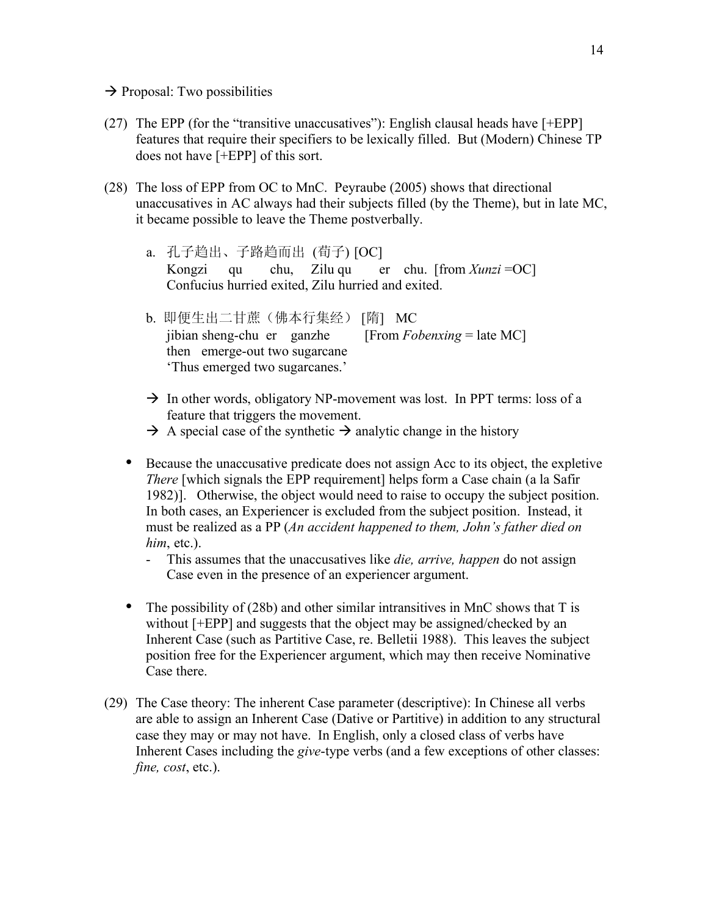- $\rightarrow$  Proposal: Two possibilities
- (27) The EPP (for the "transitive unaccusatives"): English clausal heads have [+EPP] features that require their specifiers to be lexically filled. But (Modern) Chinese TP does not have [+EPP] of this sort.
- (28) The loss of EPP from OC to MnC. Peyraube (2005) shows that directional unaccusatives in AC always had their subjects filled (by the Theme), but in late MC, it became possible to leave the Theme postverbally.
	- a. 孔子趋出、子路趋而出 (荀子) [OC] Kongzi qu chu, Zilu qu er chu. [from *Xunzi* =OC] Confucius hurried exited, Zilu hurried and exited.
	- b. 即便生出二甘蔗(佛本行集经) [隋] MC jibian sheng-chu er ganzhe [From *Fobenxing* = late MC] then emerge-out two sugarcane 'Thus emerged two sugarcanes.'
	- $\rightarrow$  In other words, obligatory NP-movement was lost. In PPT terms: loss of a feature that triggers the movement.
	- $\rightarrow$  A special case of the synthetic  $\rightarrow$  analytic change in the history
	- Because the unaccusative predicate does not assign Acc to its object, the expletive *There* [which signals the EPP requirement] helps form a Case chain (a la Safir 1982)]. Otherwise, the object would need to raise to occupy the subject position. In both cases, an Experiencer is excluded from the subject position. Instead, it must be realized as a PP (*An accident happened to them, John's father died on him*, etc.).
		- This assumes that the unaccusatives like *die, arrive, happen* do not assign Case even in the presence of an experiencer argument.
	- The possibility of (28b) and other similar intransitives in MnC shows that T is without [+EPP] and suggests that the object may be assigned/checked by an Inherent Case (such as Partitive Case, re. Belletii 1988). This leaves the subject position free for the Experiencer argument, which may then receive Nominative Case there.
- (29) The Case theory: The inherent Case parameter (descriptive): In Chinese all verbs are able to assign an Inherent Case (Dative or Partitive) in addition to any structural case they may or may not have. In English, only a closed class of verbs have Inherent Cases including the *give*-type verbs (and a few exceptions of other classes: *fine, cost*, etc.).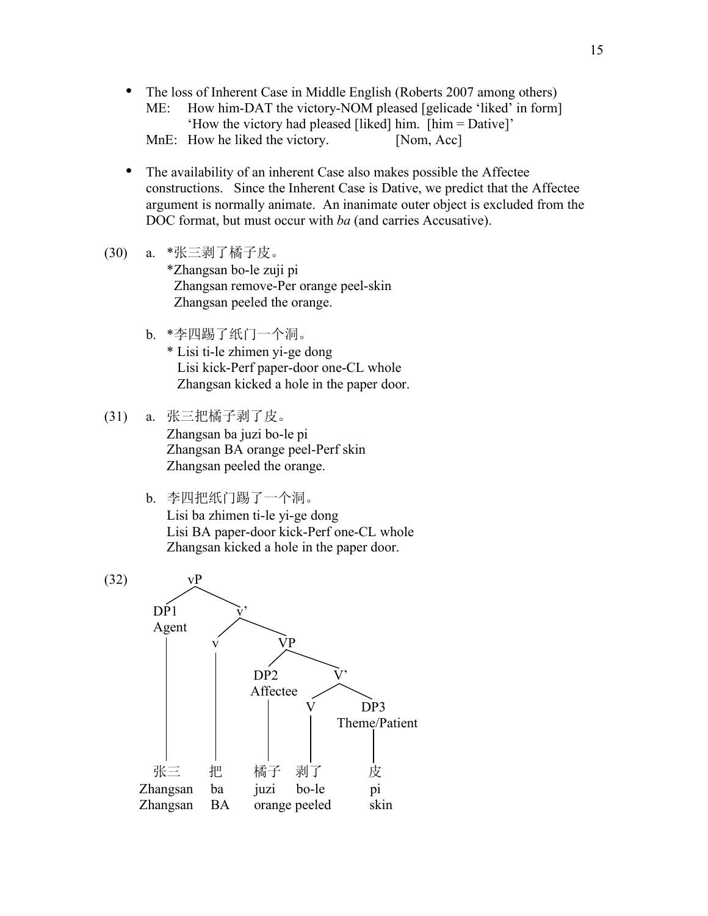- The loss of Inherent Case in Middle English (Roberts 2007 among others)<br>ME: How him-DAT the victory-NOM pleased [gelicade 'liked' in form] How him-DAT the victory-NOM pleased [gelicade 'liked' in form] 'How the victory had pleased [liked] him. [him = Dative]' MnE: How he liked the victory. [Nom, Acc]
- The availability of an inherent Case also makes possible the Affectee constructions. Since the Inherent Case is Dative, we predict that the Affectee argument is normally animate. An inanimate outer object is excluded from the DOC format, but must occur with *ba* (and carries Accusative).
- (30) a. \*张三剥了橘子皮。

\*Zhangsan bo-le zuji pi Zhangsan remove-Per orange peel-skin Zhangsan peeled the orange.

- b. \*李四踢了纸门一个洞。
	- \* Lisi ti-le zhimen yi-ge dong Lisi kick-Perf paper-door one-CL whole Zhangsan kicked a hole in the paper door.
- (31) a. 张三把橘子剥了皮。 Zhangsan ba juzi bo-le pi Zhangsan BA orange peel-Perf skin Zhangsan peeled the orange.
	- b. 李四把纸门踢了一个洞。 Lisi ba zhimen ti-le yi-ge dong Lisi BA paper-door kick-Perf one-CL whole Zhangsan kicked a hole in the paper door.

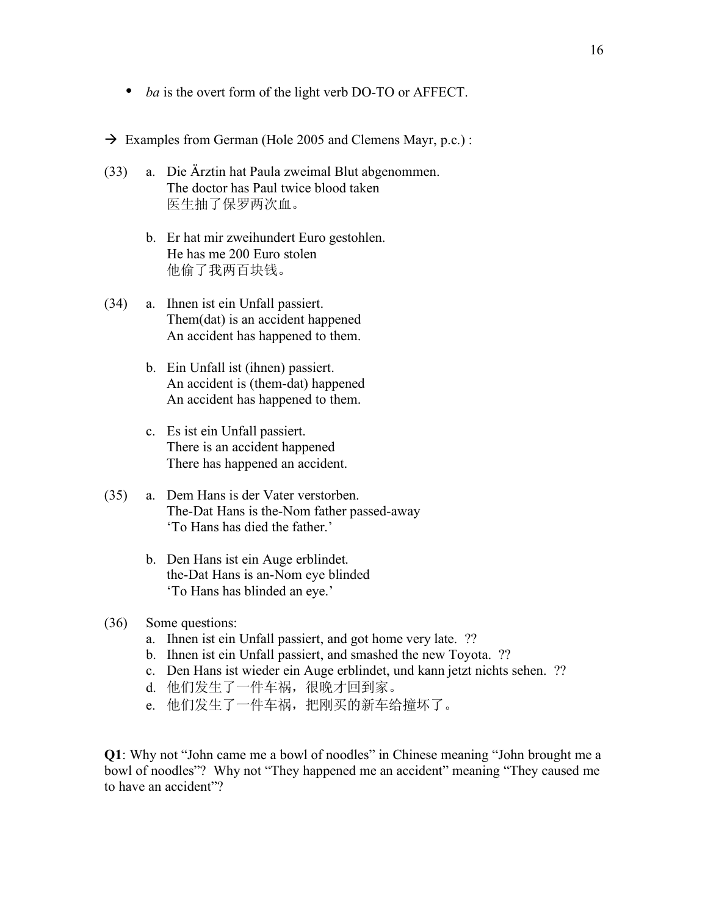- *ba* is the overt form of the light verb DO-TO or AFFECT.
- $\rightarrow$  Examples from German (Hole 2005 and Clemens Mayr, p.c.):
- (33) a. Die Ärztin hat Paula zweimal Blut abgenommen. The doctor has Paul twice blood taken 医生抽了保罗两次血。
	- b. Er hat mir zweihundert Euro gestohlen. He has me 200 Euro stolen 他偷了我两百块钱。
- (34) a. Ihnen ist ein Unfall passiert. Them(dat) is an accident happened An accident has happened to them.
	- b. Ein Unfall ist (ihnen) passiert. An accident is (them-dat) happened An accident has happened to them.
	- c. Es ist ein Unfall passiert. There is an accident happened There has happened an accident.
- (35) a. Dem Hans is der Vater verstorben. The-Dat Hans is the-Nom father passed-away 'To Hans has died the father.'
	- b. Den Hans ist ein Auge erblindet. the-Dat Hans is an-Nom eye blinded 'To Hans has blinded an eye.'
- (36) Some questions:
	- a. Ihnen ist ein Unfall passiert, and got home very late. ??
	- b. Ihnen ist ein Unfall passiert, and smashed the new Toyota. ??
	- c. Den Hans ist wieder ein Auge erblindet, und kann jetzt nichts sehen. ??
	- d. 他们发生了一件车祸,很晚才回到家。
	- e. 他们发生了一件车祸,把刚买的新车给撞坏了。

**Q1**: Why not "John came me a bowl of noodles" in Chinese meaning "John brought me a bowl of noodles"? Why not "They happened me an accident" meaning "They caused me to have an accident"?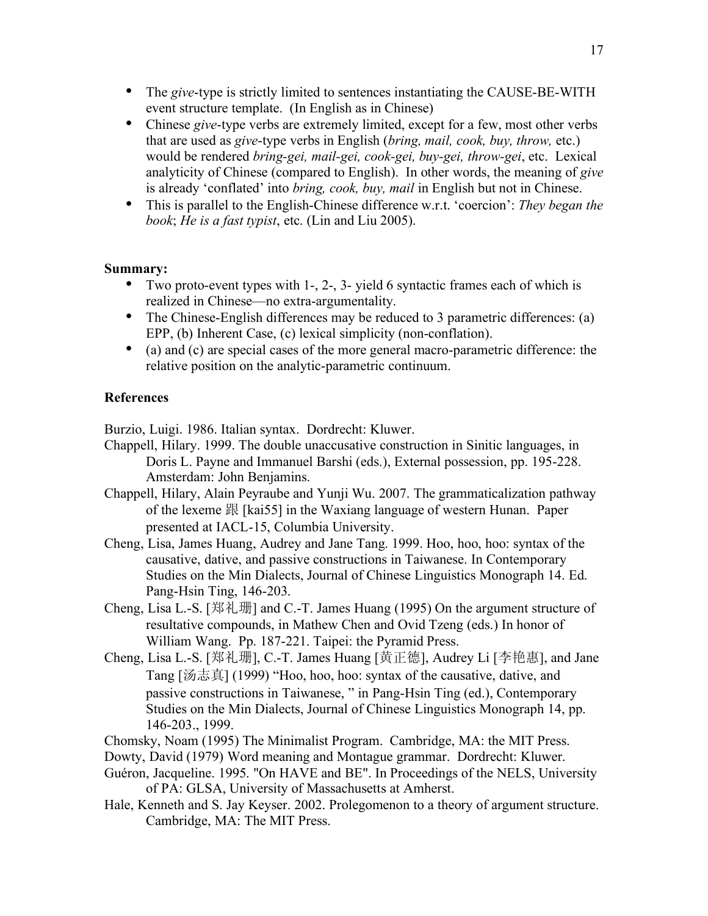- The *give*-type is strictly limited to sentences instantiating the CAUSE-BE-WITH event structure template. (In English as in Chinese)
- Chinese *give*-type verbs are extremely limited, except for a few, most other verbs that are used as *give*-type verbs in English (*bring, mail, cook, buy, throw,* etc.) would be rendered *bring-gei, mail-gei, cook-gei, buy-gei, throw-gei*, etc. Lexical analyticity of Chinese (compared to English). In other words, the meaning of *give* is already 'conflated' into *bring, cook, buy, mail* in English but not in Chinese.
- This is parallel to the English-Chinese difference w.r.t. 'coercion': *They began the book*; *He is a fast typist*, etc. (Lin and Liu 2005).

### **Summary:**

- Two proto-event types with 1-, 2-, 3- yield 6 syntactic frames each of which is realized in Chinese—no extra-argumentality.
- The Chinese-English differences may be reduced to 3 parametric differences: (a) EPP, (b) Inherent Case, (c) lexical simplicity (non-conflation).
- (a) and (c) are special cases of the more general macro-parametric difference: the relative position on the analytic-parametric continuum.

#### **References**

Burzio, Luigi. 1986. Italian syntax. Dordrecht: Kluwer.

- Chappell, Hilary. 1999. The double unaccusative construction in Sinitic languages, in Doris L. Payne and Immanuel Barshi (eds.), External possession, pp. 195-228. Amsterdam: John Benjamins.
- Chappell, Hilary, Alain Peyraube and Yunji Wu. 2007. The grammaticalization pathway of the lexeme 跟 [kai55] in the Waxiang language of western Hunan. Paper presented at IACL-15, Columbia University.
- Cheng, Lisa, James Huang, Audrey and Jane Tang. 1999. Hoo, hoo, hoo: syntax of the causative, dative, and passive constructions in Taiwanese. In Contemporary Studies on the Min Dialects, Journal of Chinese Linguistics Monograph 14. Ed. Pang-Hsin Ting, 146-203.
- Cheng, Lisa L.-S. [郑礼珊] and C.-T. James Huang (1995) On the argument structure of resultative compounds, in Mathew Chen and Ovid Tzeng (eds.) In honor of William Wang. Pp. 187-221. Taipei: the Pyramid Press.
- Cheng, Lisa L.-S. [郑礼珊], C.-T. James Huang [黄正德], Audrey Li [李艳惠], and Jane Tang [汤志真] (1999) "Hoo, hoo, hoo: syntax of the causative, dative, and passive constructions in Taiwanese, " in Pang-Hsin Ting (ed.), Contemporary Studies on the Min Dialects, Journal of Chinese Linguistics Monograph 14, pp. 146-203., 1999.
- Chomsky, Noam (1995) The Minimalist Program. Cambridge, MA: the MIT Press.
- Dowty, David (1979) Word meaning and Montague grammar. Dordrecht: Kluwer.
- Guéron, Jacqueline. 1995. "On HAVE and BE". In Proceedings of the NELS, University of PA: GLSA, University of Massachusetts at Amherst.
- Hale, Kenneth and S. Jay Keyser. 2002. Prolegomenon to a theory of argument structure. Cambridge, MA: The MIT Press.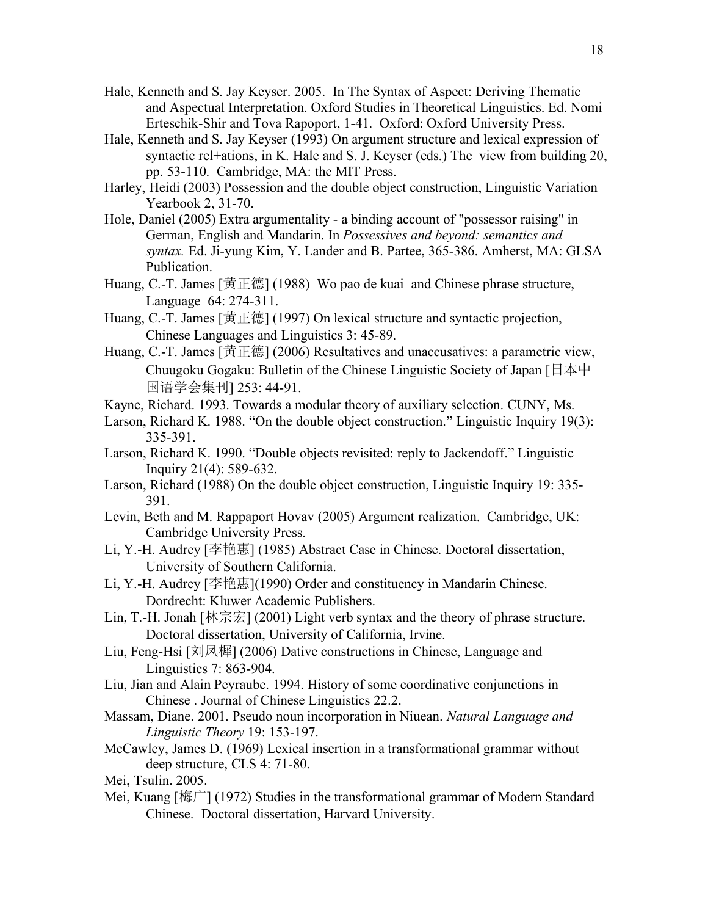- Hale, Kenneth and S. Jay Keyser. 2005. In The Syntax of Aspect: Deriving Thematic and Aspectual Interpretation. Oxford Studies in Theoretical Linguistics. Ed. Nomi Erteschik-Shir and Tova Rapoport, 1-41. Oxford: Oxford University Press.
- Hale, Kenneth and S. Jay Keyser (1993) On argument structure and lexical expression of syntactic rel+ations, in K. Hale and S. J. Keyser (eds.) The view from building 20, pp. 53-110. Cambridge, MA: the MIT Press.
- Harley, Heidi (2003) Possession and the double object construction, Linguistic Variation Yearbook 2, 31-70.
- Hole, Daniel (2005) Extra argumentality a binding account of "possessor raising" in German, English and Mandarin. In *Possessives and beyond: semantics and syntax.* Ed. Ji-yung Kim, Y. Lander and B. Partee, 365-386. Amherst, MA: GLSA Publication.
- Huang, C.-T. James [黄正德] (1988) Wo pao de kuai and Chinese phrase structure, Language 64: 274-311.
- Huang, C.-T. James [黄正德] (1997) On lexical structure and syntactic projection, Chinese Languages and Linguistics 3: 45-89.
- Huang, C.-T. James [黄正德] (2006) Resultatives and unaccusatives: a parametric view, Chuugoku Gogaku: Bulletin of the Chinese Linguistic Society of Japan [日本中 国语学会集刊] 253: 44-91.
- Kayne, Richard. 1993. Towards a modular theory of auxiliary selection. CUNY, Ms.
- Larson, Richard K. 1988. "On the double object construction." Linguistic Inquiry 19(3): 335-391.
- Larson, Richard K. 1990. "Double objects revisited: reply to Jackendoff." Linguistic Inquiry 21(4): 589-632.
- Larson, Richard (1988) On the double object construction, Linguistic Inquiry 19: 335- 391.
- Levin, Beth and M. Rappaport Hovav (2005) Argument realization. Cambridge, UK: Cambridge University Press.
- Li, Y.-H. Audrey [李艳惠] (1985) Abstract Case in Chinese. Doctoral dissertation, University of Southern California.
- Li, Y.-H. Audrey [李艳惠](1990) Order and constituency in Mandarin Chinese. Dordrecht: Kluwer Academic Publishers.
- Lin, T.-H. Jonah [林宗宏] (2001) Light verb syntax and the theory of phrase structure. Doctoral dissertation, University of California, Irvine.
- Liu, Feng-Hsi [刘凤樨] (2006) Dative constructions in Chinese, Language and Linguistics 7: 863-904.
- Liu, Jian and Alain Peyraube. 1994. History of some coordinative conjunctions in Chinese . Journal of Chinese Linguistics 22.2.
- Massam, Diane. 2001. Pseudo noun incorporation in Niuean. *Natural Language and Linguistic Theory* 19: 153-197.
- McCawley, James D. (1969) Lexical insertion in a transformational grammar without deep structure, CLS 4: 71-80.
- Mei, Tsulin. 2005.
- Mei, Kuang [梅广] (1972) Studies in the transformational grammar of Modern Standard Chinese. Doctoral dissertation, Harvard University.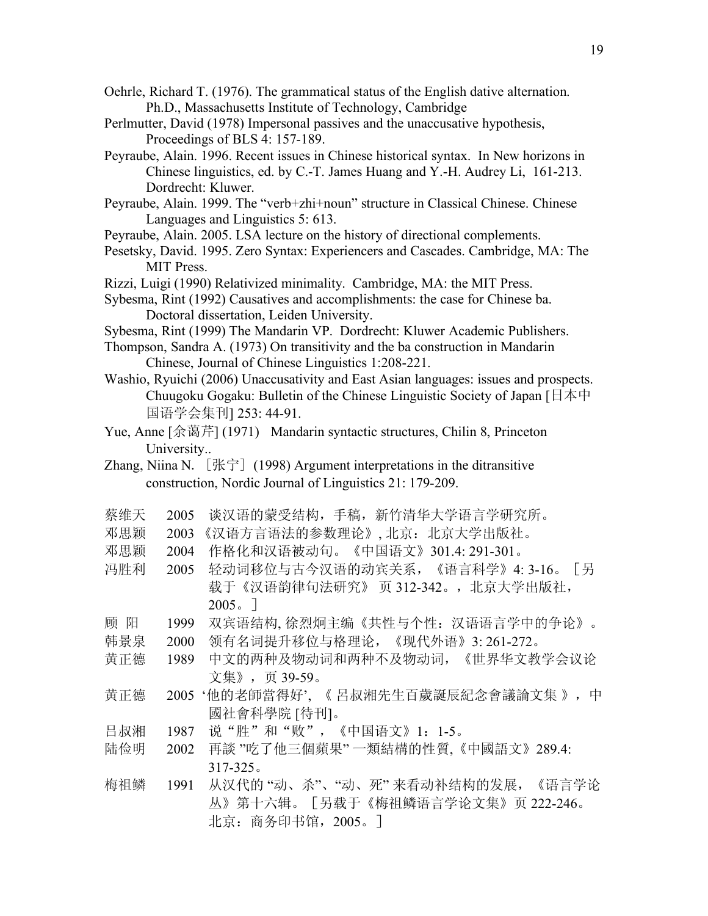- Oehrle, Richard T. (1976). The grammatical status of the English dative alternation. Ph.D., Massachusetts Institute of Technology, Cambridge
- Perlmutter, David (1978) Impersonal passives and the unaccusative hypothesis, Proceedings of BLS 4: 157-189.
- Peyraube, Alain. 1996. Recent issues in Chinese historical syntax. In New horizons in Chinese linguistics, ed. by C.-T. James Huang and Y.-H. Audrey Li, 161-213. Dordrecht: Kluwer.
- Peyraube, Alain. 1999. The "verb+zhi+noun" structure in Classical Chinese. Chinese Languages and Linguistics 5: 613.
- Peyraube, Alain. 2005. LSA lecture on the history of directional complements.
- Pesetsky, David. 1995. Zero Syntax: Experiencers and Cascades. Cambridge, MA: The MIT Press.
- Rizzi, Luigi (1990) Relativized minimality. Cambridge, MA: the MIT Press.
- Sybesma, Rint (1992) Causatives and accomplishments: the case for Chinese ba. Doctoral dissertation, Leiden University.
- Sybesma, Rint (1999) The Mandarin VP. Dordrecht: Kluwer Academic Publishers.
- Thompson, Sandra A. (1973) On transitivity and the ba construction in Mandarin Chinese, Journal of Chinese Linguistics 1:208-221.
- Washio, Ryuichi (2006) Unaccusativity and East Asian languages: issues and prospects. Chuugoku Gogaku: Bulletin of the Chinese Linguistic Society of Japan [日本中 国语学会集刊] 253: 44-91.
- Yue, Anne [余蔼芹] (1971) Mandarin syntactic structures, Chilin 8, Princeton University..
- Zhang, Niina N.  $[\nexists \forall \hat{\tau}]$  (1998) Argument interpretations in the ditransitive construction, Nordic Journal of Linguistics 21: 179-209.
- 蔡维天 2005 谈汉语的蒙受结构,手稿,新竹清华大学语言学研究所。
- 邓思颖 2003 《汉语方言语法的参数理论》, 北京: 北京大学出版社。
- 邓思颖 2004 作格化和汉语被动句。《中国语文》301.4: 291-301。
- 冯胜利 2005 轻动词移位与古今汉语的动宾关系,《语言科学》4: 3-16。[另 载于《汉语韵律句法研究》页 312-342。, 北京大学出版社, 2005。]
- 顾 阳 1999 双宾语结构, 徐烈炯主编《共性与个性:汉语语言学中的争论》。
- 韩景泉 2000 领有名词提升移位与格理论,《现代外语》3: 261-272。
- 黄正德 1989 中文的两种及物动词和两种不及物动词,《世界华文教学会议论 文集》,页 39-59。
- 黄正德 2005 '他的老師當得好', 《 呂叔湘先生百歲誕辰紀念會議論文集 》, 中 國社會科學院 [待刊]。
- 吕叔湘 1987 说"胜"和"败",《中国语文》1:1-5。
- 陆俭明 2002 再談 "吃了他三個蘋果" 一類結構的性質,《中國語文》289.4: 317-325。
- 梅祖鳞 1991 从汉代的"动、杀"、"动、死"来看动补结构的发展, 《语言学论 丛》第十六辑。[另载于《梅祖鳞语言学论文集》页 222-246。 北京:商务印书馆,2005。]